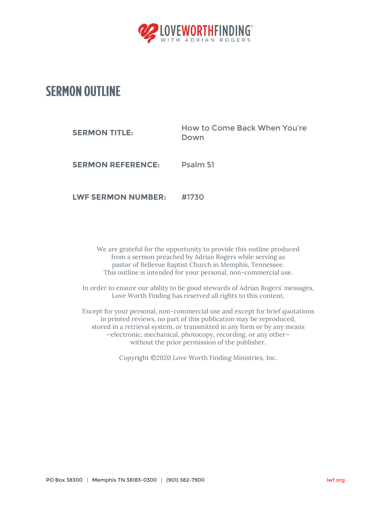

## **SERMON OUTLINE**

| <b>SERMON TITLE:</b> | How to Come Back When You're<br>Down |
|----------------------|--------------------------------------|
|                      |                                      |

**SERMON REFERENCE:** Psalm 51

**LWF SERMON NUMBER:** #1730

We are grateful for the opportunity to provide this outline produced from a sermon preached by Adrian Rogers while serving as pastor of Bellevue Baptist Church in Memphis, Tennessee. This outline is intended for your personal, non-commercial use.

In order to ensure our ability to be good stewards of Adrian Rogers' messages, Love Worth Finding has reserved all rights to this content.

Except for your personal, non-commercial use and except for brief quotations in printed reviews, no part of this publication may be reproduced, stored in a retrieval system, or transmitted in any form or by any means —electronic, mechanical, photocopy, recording, or any other without the prior permission of the publisher.

Copyright ©2020 Love Worth Finding Ministries, Inc.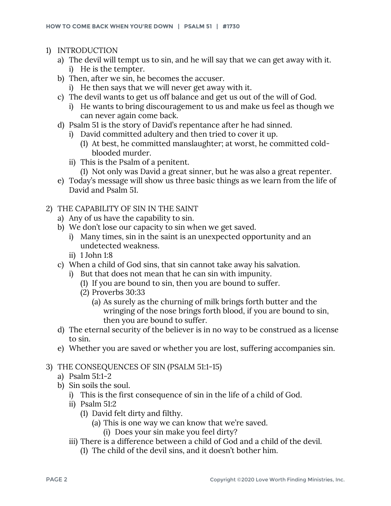- 1) INTRODUCTION
	- a) The devil will tempt us to sin, and he will say that we can get away with it. i) He is the tempter.
	- b) Then, after we sin, he becomes the accuser.
		- i) He then says that we will never get away with it.
	- c) The devil wants to get us off balance and get us out of the will of God.
		- i) He wants to bring discouragement to us and make us feel as though we can never again come back.
	- d) Psalm 51 is the story of David's repentance after he had sinned.
		- i) David committed adultery and then tried to cover it up.
			- (1) At best, he committed manslaughter; at worst, he committed coldblooded murder.
		- ii) This is the Psalm of a penitent.
			- (1) Not only was David a great sinner, but he was also a great repenter.
	- e) Today's message will show us three basic things as we learn from the life of David and Psalm 51.
- 2) THE CAPABILITY OF SIN IN THE SAINT
	- a) Any of us have the capability to sin.
	- b) We don't lose our capacity to sin when we get saved.
		- i) Many times, sin in the saint is an unexpected opportunity and an undetected weakness.
		- ii) 1 John 1:8
	- c) When a child of God sins, that sin cannot take away his salvation.
		- i) But that does not mean that he can sin with impunity.
			- (1) If you are bound to sin, then you are bound to suffer.
			- (2) Proverbs 30:33
				- (a) As surely as the churning of milk brings forth butter and the wringing of the nose brings forth blood, if you are bound to sin, then you are bound to suffer.
	- d) The eternal security of the believer is in no way to be construed as a license to sin.
	- e) Whether you are saved or whether you are lost, suffering accompanies sin.

## 3) THE CONSEQUENCES OF SIN (PSALM 51:1-15)

- a) Psalm 51:1-2
- b) Sin soils the soul.
	- i) This is the first consequence of sin in the life of a child of God.
	- ii) Psalm 51:2
		- (1) David felt dirty and filthy.
			- (a) This is one way we can know that we're saved.
				- (i) Does your sin make you feel dirty?
	- iii) There is a difference between a child of God and a child of the devil.
		- (1) The child of the devil sins, and it doesn't bother him.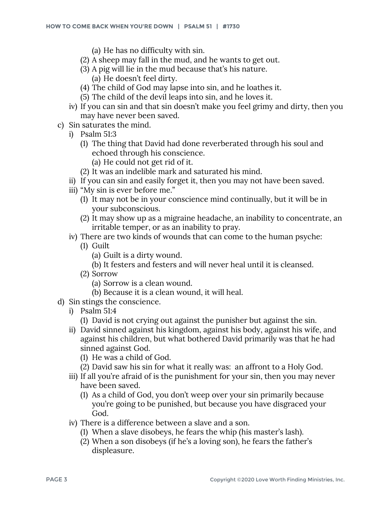- (a) He has no difficulty with sin.
- (2) A sheep may fall in the mud, and he wants to get out.
- (3) A pig will lie in the mud because that's his nature.
	- (a) He doesn't feel dirty.
- (4) The child of God may lapse into sin, and he loathes it.
- (5) The child of the devil leaps into sin, and he loves it.
- iv) If you can sin and that sin doesn't make you feel grimy and dirty, then you may have never been saved.
- c) Sin saturates the mind.
	- i) Psalm 51:3
		- (1) The thing that David had done reverberated through his soul and echoed through his conscience.
			- (a) He could not get rid of it.
		- (2) It was an indelible mark and saturated his mind.
	- ii) If you can sin and easily forget it, then you may not have been saved.
	- iii) "My sin is ever before me."
		- (1) It may not be in your conscience mind continually, but it will be in your subconscious.
		- (2) It may show up as a migraine headache, an inability to concentrate, an irritable temper, or as an inability to pray.
	- iv) There are two kinds of wounds that can come to the human psyche:
		- (1) Guilt
			- (a) Guilt is a dirty wound.
			- (b) It festers and festers and will never heal until it is cleansed.
		- (2) Sorrow
			- (a) Sorrow is a clean wound.
			- (b) Because it is a clean wound, it will heal.
- d) Sin stings the conscience.
	- i) Psalm 51:4
		- (1) David is not crying out against the punisher but against the sin.
	- ii) David sinned against his kingdom, against his body, against his wife, and against his children, but what bothered David primarily was that he had sinned against God.
		- (1) He was a child of God.
		- (2) David saw his sin for what it really was: an affront to a Holy God.
	- iii) If all you're afraid of is the punishment for your sin, then you may never have been saved.
		- (1) As a child of God, you don't weep over your sin primarily because you're going to be punished, but because you have disgraced your God.
	- iv) There is a difference between a slave and a son.
		- (1) When a slave disobeys, he fears the whip (his master's lash).
		- (2) When a son disobeys (if he's a loving son), he fears the father's displeasure.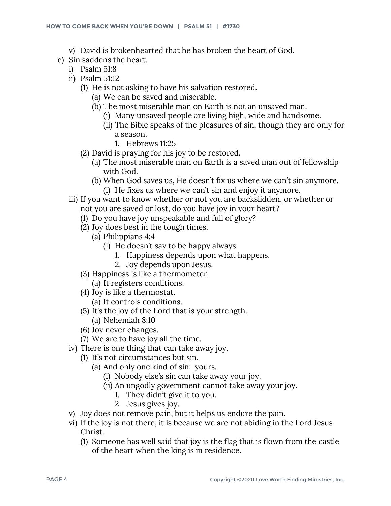- v) David is brokenhearted that he has broken the heart of God.
- e) Sin saddens the heart.
	- i) Psalm 51:8
	- ii) Psalm 51:12
		- (1) He is not asking to have his salvation restored.
			- (a) We can be saved and miserable.
			- (b) The most miserable man on Earth is not an unsaved man.
				- (i) Many unsaved people are living high, wide and handsome.
				- (ii) The Bible speaks of the pleasures of sin, though they are only for a season.
					- 1. Hebrews 11:25
		- (2) David is praying for his joy to be restored.
			- (a) The most miserable man on Earth is a saved man out of fellowship with God.
			- (b) When God saves us, He doesn't fix us where we can't sin anymore. (i) He fixes us where we can't sin and enjoy it anymore.
	- iii) If you want to know whether or not you are backslidden, or whether or not you are saved or lost, do you have joy in your heart?
		- (1) Do you have joy unspeakable and full of glory?
		- (2) Joy does best in the tough times.
			- (a) Philippians 4:4
				- (i) He doesn't say to be happy always.
					- 1. Happiness depends upon what happens.
					- 2. Joy depends upon Jesus.
		- (3) Happiness is like a thermometer.
		- (a) It registers conditions.
		- (4) Joy is like a thermostat.
			- (a) It controls conditions.
		- (5) It's the joy of the Lord that is your strength.
			- (a) Nehemiah 8:10
		- (6) Joy never changes.
		- (7) We are to have joy all the time.
	- iv) There is one thing that can take away joy.
		- (1) It's not circumstances but sin.
			- (a) And only one kind of sin: yours.
				- (i) Nobody else's sin can take away your joy.
				- (ii) An ungodly government cannot take away your joy.
					- 1. They didn't give it to you.
					- 2. Jesus gives joy.
	- v) Joy does not remove pain, but it helps us endure the pain.
	- vi) If the joy is not there, it is because we are not abiding in the Lord Jesus Christ.
		- (1) Someone has well said that joy is the flag that is flown from the castle of the heart when the king is in residence.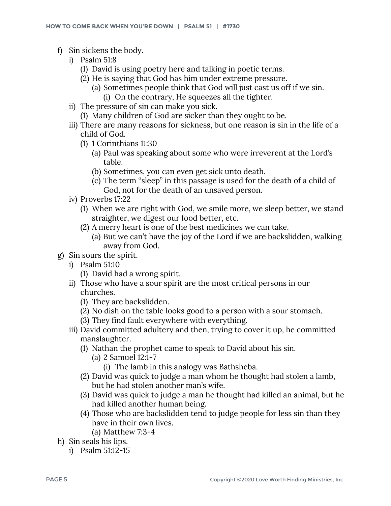- f) Sin sickens the body.
	- i) Psalm 51:8
		- (1) David is using poetry here and talking in poetic terms.
		- (2) He is saying that God has him under extreme pressure.
			- (a) Sometimes people think that God will just cast us off if we sin.
				- (i) On the contrary, He squeezes all the tighter.
	- ii) The pressure of sin can make you sick.
		- (1) Many children of God are sicker than they ought to be.
	- iii) There are many reasons for sickness, but one reason is sin in the life of a child of God.
		- (1) 1 Corinthians 11:30
			- (a) Paul was speaking about some who were irreverent at the Lord's table.
			- (b) Sometimes, you can even get sick unto death.
			- (c) The term "sleep" in this passage is used for the death of a child of God, not for the death of an unsaved person.
	- iv) Proverbs 17:22
		- (1) When we are right with God, we smile more, we sleep better, we stand straighter, we digest our food better, etc.
		- (2) A merry heart is one of the best medicines we can take.
			- (a) But we can't have the joy of the Lord if we are backslidden, walking away from God.
- g) Sin sours the spirit.
	- i) Psalm 51:10
		- (1) David had a wrong spirit.
	- ii) Those who have a sour spirit are the most critical persons in our churches.
		- (1) They are backslidden.
		- (2) No dish on the table looks good to a person with a sour stomach.
		- (3) They find fault everywhere with everything.
	- iii) David committed adultery and then, trying to cover it up, he committed manslaughter.
		- (1) Nathan the prophet came to speak to David about his sin.
			- (a) 2 Samuel 12:1-7
				- (i) The lamb in this analogy was Bathsheba.
		- (2) David was quick to judge a man whom he thought had stolen a lamb, but he had stolen another man's wife.
		- (3) David was quick to judge a man he thought had killed an animal, but he had killed another human being.
		- (4) Those who are backslidden tend to judge people for less sin than they have in their own lives.
			- (a) Matthew 7:3-4
- h) Sin seals his lips.
	- i) Psalm 51:12-15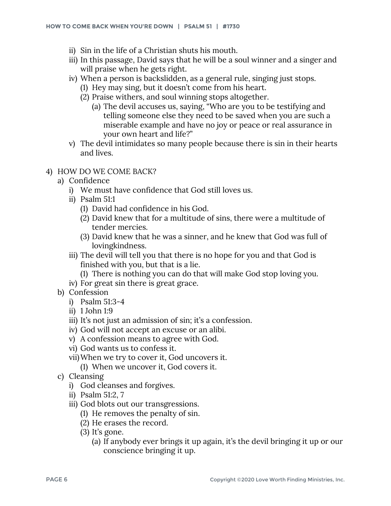- ii) Sin in the life of a Christian shuts his mouth.
- iii) In this passage, David says that he will be a soul winner and a singer and will praise when he gets right.
- iv) When a person is backslidden, as a general rule, singing just stops.
	- (1) Hey may sing, but it doesn't come from his heart.
	- (2) Praise withers, and soul winning stops altogether.
		- (a) The devil accuses us, saying, "Who are you to be testifying and telling someone else they need to be saved when you are such a miserable example and have no joy or peace or real assurance in your own heart and life?"
- v) The devil intimidates so many people because there is sin in their hearts and lives.
- 4) HOW DO WE COME BACK?
	- a) Confidence
		- i) We must have confidence that God still loves us.
		- ii) Psalm 51:1
			- (1) David had confidence in his God.
			- (2) David knew that for a multitude of sins, there were a multitude of tender mercies.
			- (3) David knew that he was a sinner, and he knew that God was full of lovingkindness.
		- iii) The devil will tell you that there is no hope for you and that God is finished with you, but that is a lie.
			- (1) There is nothing you can do that will make God stop loving you.
		- iv) For great sin there is great grace.
	- b) Confession
		- i) Psalm 51:3-4
		- ii) 1 John 1:9
		- iii) It's not just an admission of sin; it's a confession.
		- iv) God will not accept an excuse or an alibi.
		- v) A confession means to agree with God.
		- vi) God wants us to confess it.
		- vii)When we try to cover it, God uncovers it. (1) When we uncover it, God covers it.
	- c) Cleansing
		- i) God cleanses and forgives.
		- ii) Psalm 51:2, 7
		- iii) God blots out our transgressions.
			- (1) He removes the penalty of sin.
			- (2) He erases the record.
			- (3) It's gone.
				- (a) If anybody ever brings it up again, it's the devil bringing it up or our conscience bringing it up.